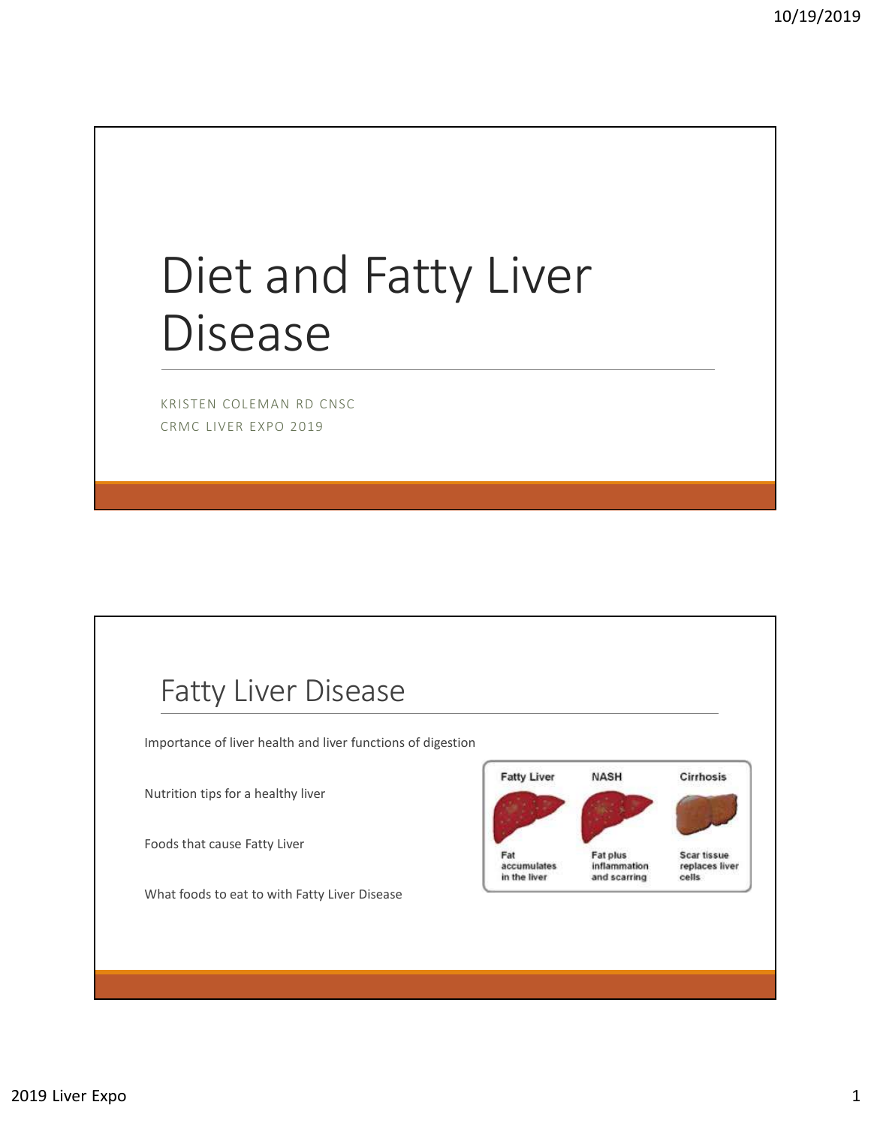# Diet and Fatty Liver Disease

KRISTEN COLEMAN RD CNSC CRMC LIVER EXPO 2019

### Fatty Liver Disease

Importance of liver health and liver functions of digestion

Nutrition tips for a healthy liver

Foods that cause Fatty Liver

What foods to eat to with Fatty Liver Disease

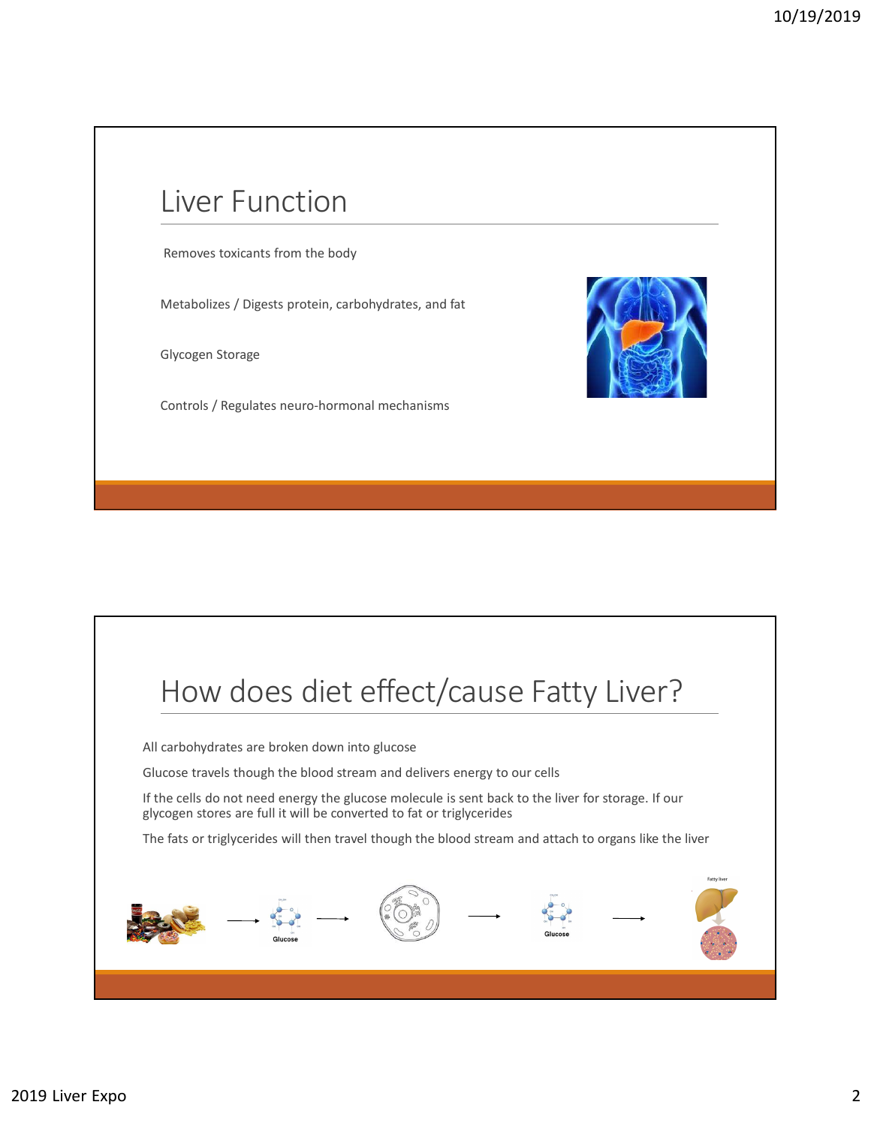## Liver Function

Removes toxicants from the body

Metabolizes / Digests protein, carbohydrates, and fat

Glycogen Storage

Controls / Regulates neuro-hormonal mechanisms



# How does diet effect/cause Fatty Liver?

All carbohydrates are broken down into glucose

Glucose travels though the blood stream and delivers energy to our cells

If the cells do not need energy the glucose molecule is sent back to the liver for storage. If our glycogen stores are full it will be converted to fat or triglycerides

The fats or triglycerides will then travel though the blood stream and attach to organs like the liver

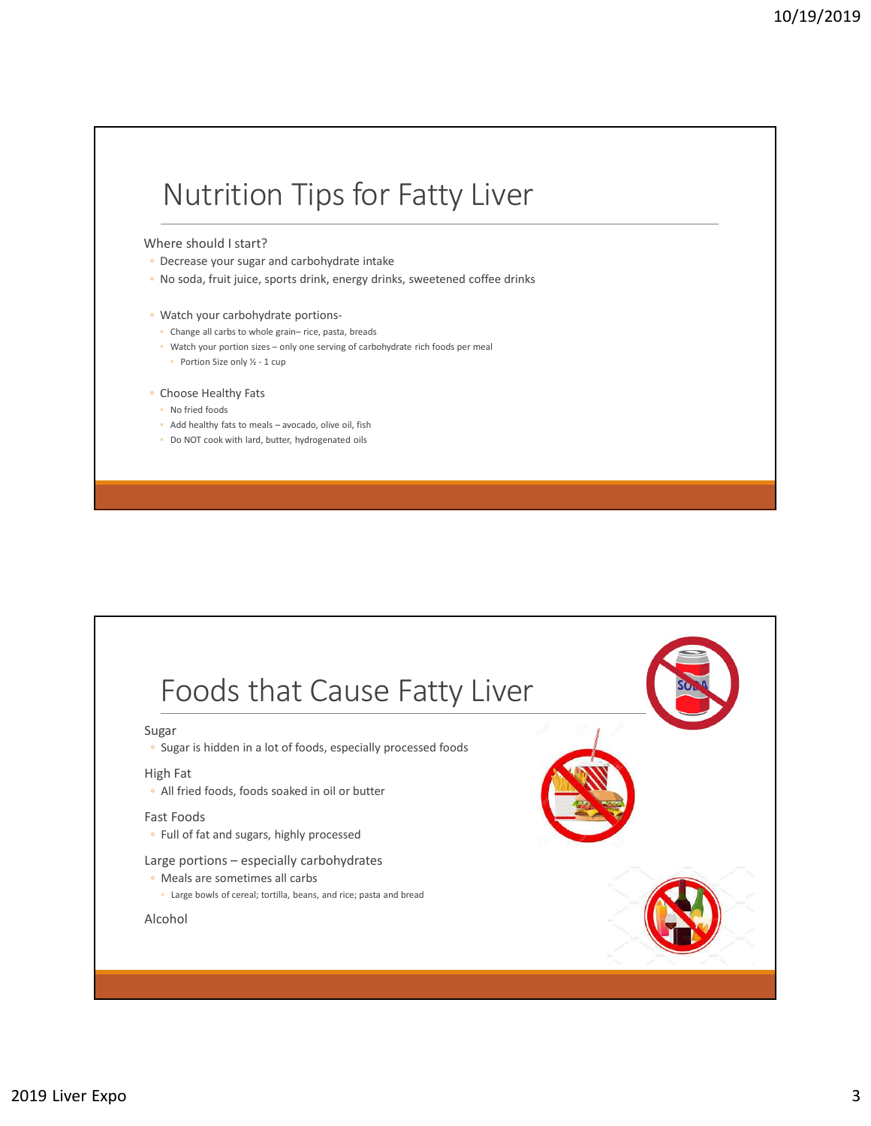# Nutrition Tips for Fatty Liver Nutrition Tips for Fatty Liver<br>
There should istant?<br>
" Decrease your sugar and carbohydrate intake<br>
<sup>-</sup> Watch your carbohydrate portions.<br>
" Watch your carbohydrate portions.<br>
" Watch your carbohydrate profitons.<br>
" Watc NUTTITION TIPS for Fatty Liver<br>
There should I start?<br>
Decrease your sugar and carbohydrate intake<br>
Decrease your sugar and carbohydrate portions-<br>
When the wave sugar and carbohydrate portions-<br>

Change all carb to whole

### Where should I start?

- Decrease your sugar and carbohydrate intake
- No soda, fruit juice, sports drink, energy drinks, sweetened coffee drinks
- Watch your carbohydrate portions-
	-
	-
	-

- 
- 
- Do NOT cook with lard, butter, hydrogenated oils

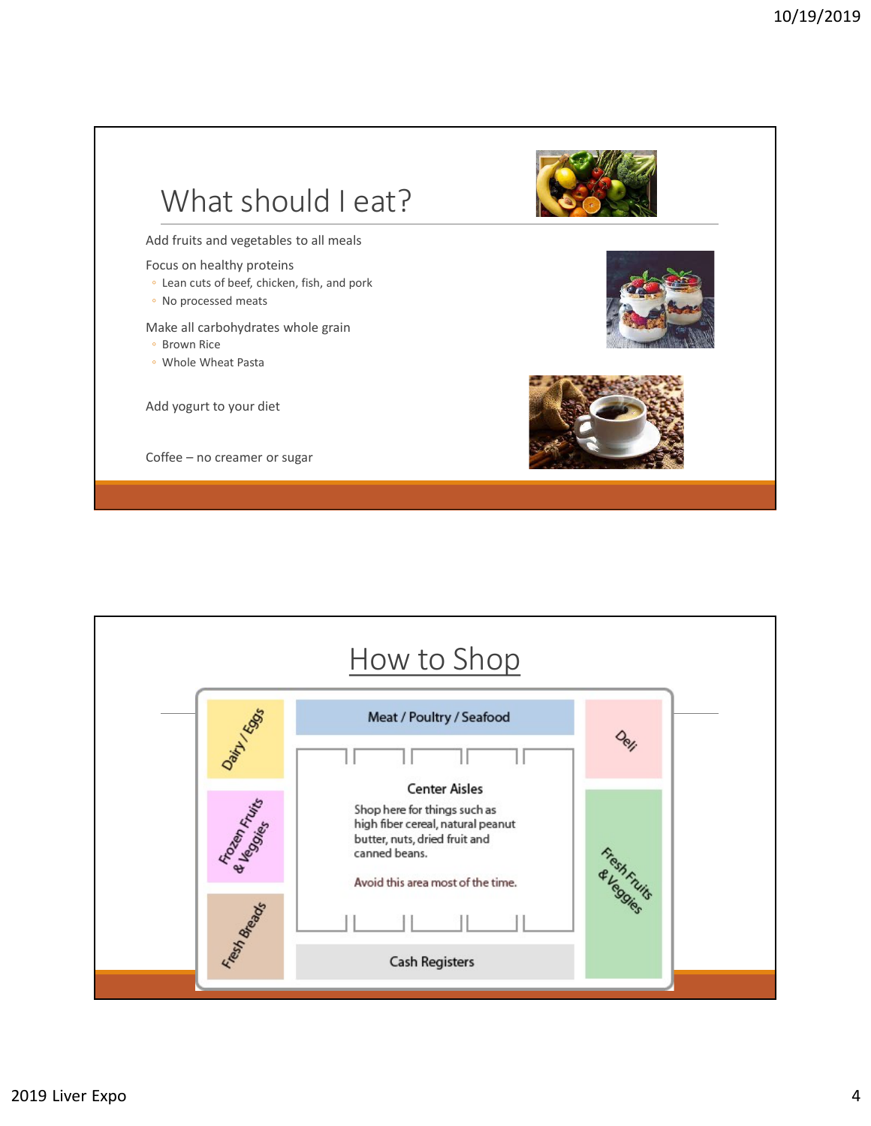

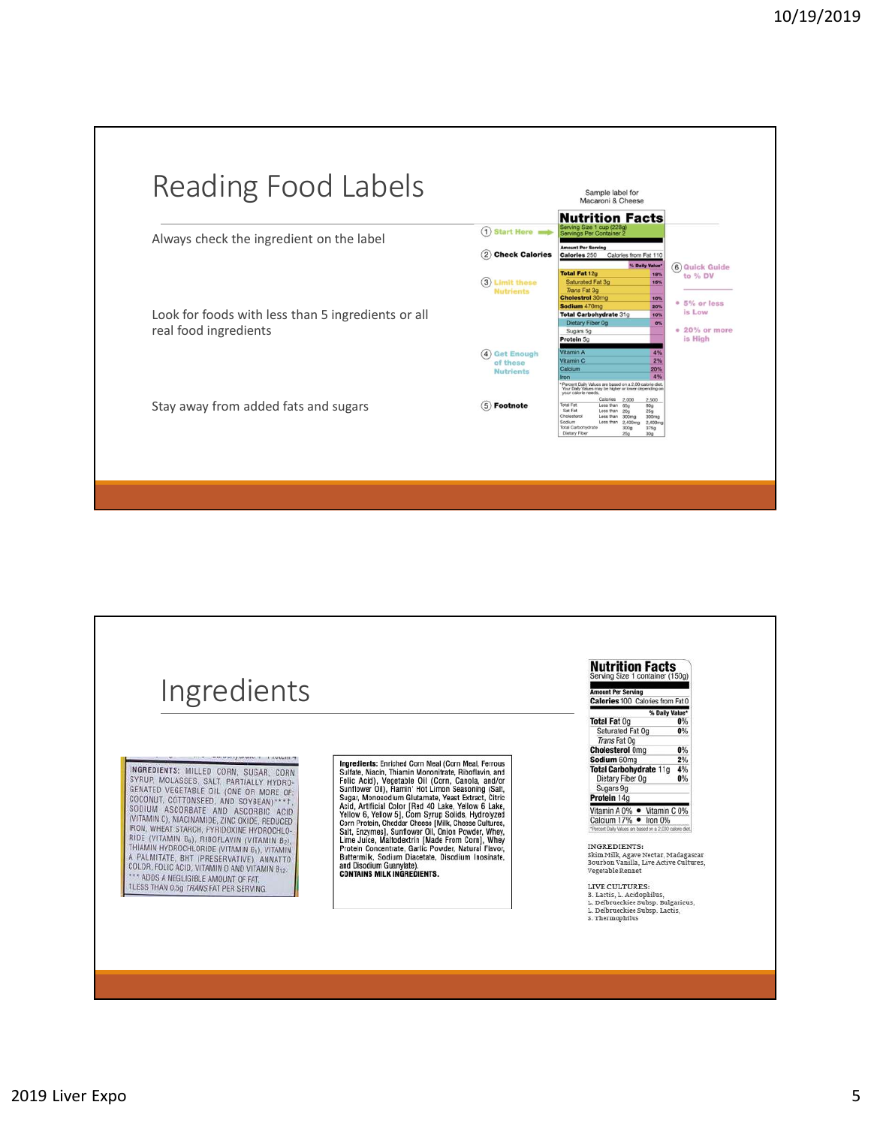

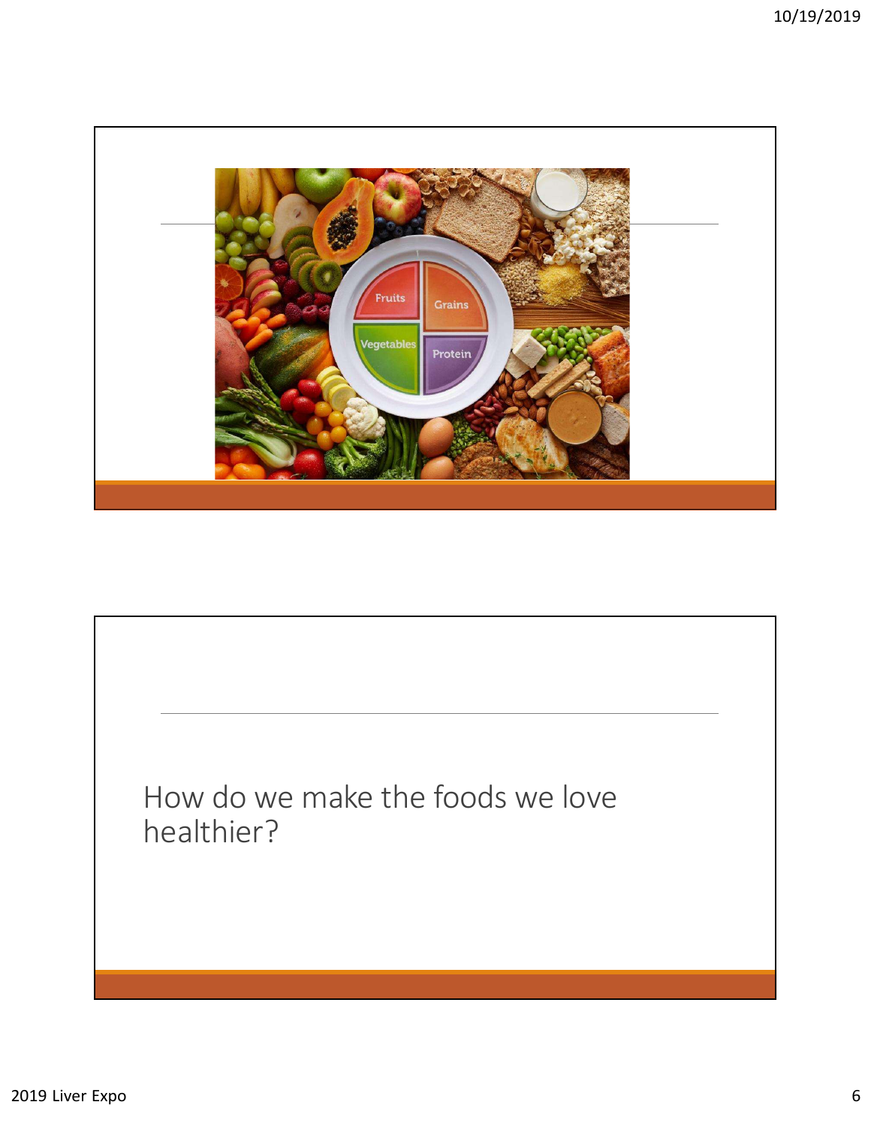